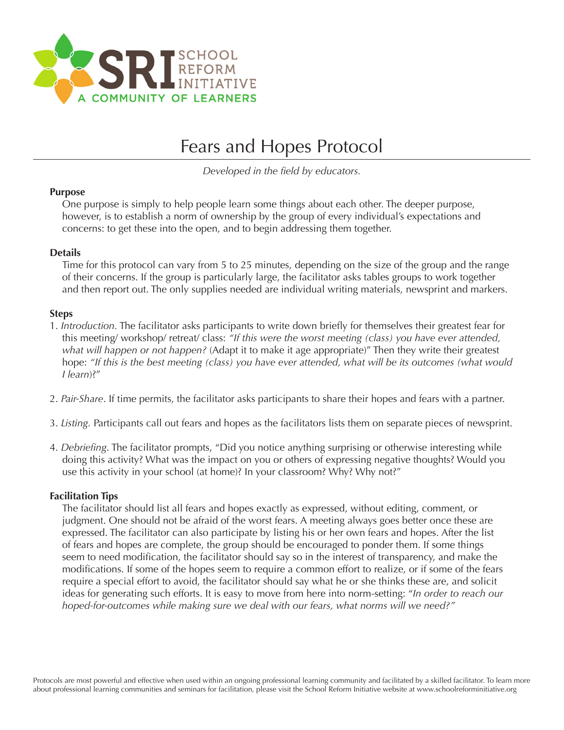

# Fears and Hopes Protocol

*Developed in the field by educators.*

# **Purpose**

One purpose is simply to help people learn some things about each other. The deeper purpose, however, is to establish a norm of ownership by the group of every individual's expectations and concerns: to get these into the open, and to begin addressing them together.

### **Details**

Time for this protocol can vary from 5 to 25 minutes, depending on the size of the group and the range of their concerns. If the group is particularly large, the facilitator asks tables groups to work together and then report out. The only supplies needed are individual writing materials, newsprint and markers.

# **Steps**

- 1. *Introduction.* The facilitator asks participants to write down briefly for themselves their greatest fear for this meeting/ workshop/ retreat/ class: *"If this were the worst meeting (class) you have ever attended, what will happen or not happen?* (Adapt it to make it age appropriate)" Then they write their greatest hope: *"If this is the best meeting (class) you have ever attended, what will be its outcomes (what would I learn*)?"
- 2. *Pair-Share*. If time permits, the facilitator asks participants to share their hopes and fears with a partner.
- 3. *Listing.* Participants call out fears and hopes as the facilitators lists them on separate pieces of newsprint.
- 4. *Debriefing*. The facilitator prompts, "Did you notice anything surprising or otherwise interesting while doing this activity? What was the impact on you or others of expressing negative thoughts? Would you use this activity in your school (at home)? In your classroom? Why? Why not?"

#### **Facilitation Tips**

The facilitator should list all fears and hopes exactly as expressed, without editing, comment, or judgment. One should not be afraid of the worst fears. A meeting always goes better once these are expressed. The facilitator can also participate by listing his or her own fears and hopes. After the list of fears and hopes are complete, the group should be encouraged to ponder them. If some things seem to need modification, the facilitator should say so in the interest of transparency, and make the modifications. If some of the hopes seem to require a common effort to realize, or if some of the fears require a special effort to avoid, the facilitator should say what he or she thinks these are, and solicit ideas for generating such efforts. It is easy to move from here into norm-setting: "*In order to reach our hoped-for-outcomes while making sure we deal with our fears, what norms will we need?"*